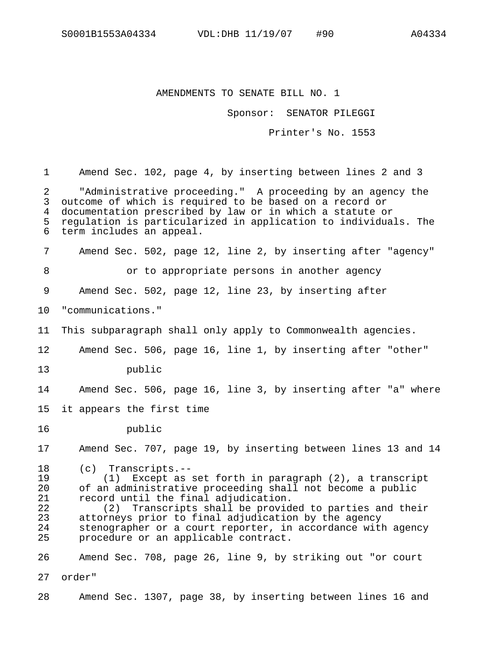## AMENDMENTS TO SENATE BILL NO. 1

Sponsor: SENATOR PILEGGI

Printer's No. 1553

1 Amend Sec. 102, page 4, by inserting between lines 2 and 3 2 "Administrative proceeding." A proceeding by an agency the 3 outcome of which is required to be based on a record or 4 documentation prescribed by law or in which a statute or 5 regulation is particularized in application to individuals. The 6 term includes an appeal. 7 Amend Sec. 502, page 12, line 2, by inserting after "agency" 8 or to appropriate persons in another agency 9 Amend Sec. 502, page 12, line 23, by inserting after 10 "communications." 11 This subparagraph shall only apply to Commonwealth agencies. 12 Amend Sec. 506, page 16, line 1, by inserting after "other" 13 public 14 Amend Sec. 506, page 16, line 3, by inserting after "a" where 15 it appears the first time 16 public 17 Amend Sec. 707, page 19, by inserting between lines 13 and 14 18 (c) Transcripts.-- 19 (1) Except as set forth in paragraph (2), a transcript 20 of an administrative proceeding shall not become a public 21 record until the final adjudication.<br>22 (2) Transcripts shall be provid 22 (2) Transcripts shall be provided to parties and their 23 attorneys prior to final adjudication by the agency 24 stenographer or a court reporter, in accordance with agency 25 procedure or an applicable contract. 26 Amend Sec. 708, page 26, line 9, by striking out "or court 27 order" 28 Amend Sec. 1307, page 38, by inserting between lines 16 and